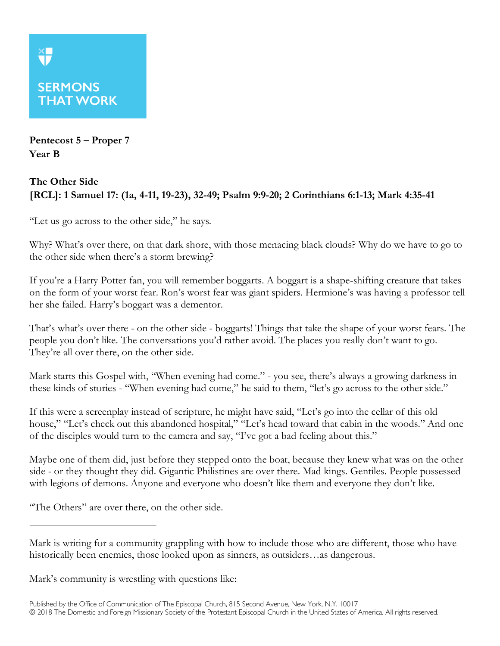## **SERMONS THAT WORK**

**Pentecost 5 – Proper 7 Year B**

## **The Other Side [RCL]: 1 Samuel 17: (1a, 4-11, 19-23), 32-49; Psalm 9:9-20; 2 Corinthians 6:1-13; Mark 4:35-41**

"Let us go across to the other side," he says.

Why? What's over there, on that dark shore, with those menacing black clouds? Why do we have to go to the other side when there's a storm brewing?

If you're a Harry Potter fan, you will remember boggarts. A boggart is a shape-shifting creature that takes on the form of your worst fear. Ron's worst fear was giant spiders. Hermione's was having a professor tell her she failed. Harry's boggart was a dementor.

That's what's over there - on the other side - boggarts! Things that take the shape of your worst fears. The people you don't like. The conversations you'd rather avoid. The places you really don't want to go. They're all over there, on the other side.

Mark starts this Gospel with, "When evening had come." - you see, there's always a growing darkness in these kinds of stories - "When evening had come," he said to them, "let's go across to the other side."

If this were a screenplay instead of scripture, he might have said, "Let's go into the cellar of this old house," "Let's check out this abandoned hospital," "Let's head toward that cabin in the woods." And one of the disciples would turn to the camera and say, "I've got a bad feeling about this."

Maybe one of them did, just before they stepped onto the boat, because they knew what was on the other side - or they thought they did. Gigantic Philistines are over there. Mad kings. Gentiles. People possessed with legions of demons. Anyone and everyone who doesn't like them and everyone they don't like.

"The Others" are over there, on the other side.

Mark's community is wrestling with questions like:

Mark is writing for a community grappling with how to include those who are different, those who have historically been enemies, those looked upon as sinners, as outsiders…as dangerous.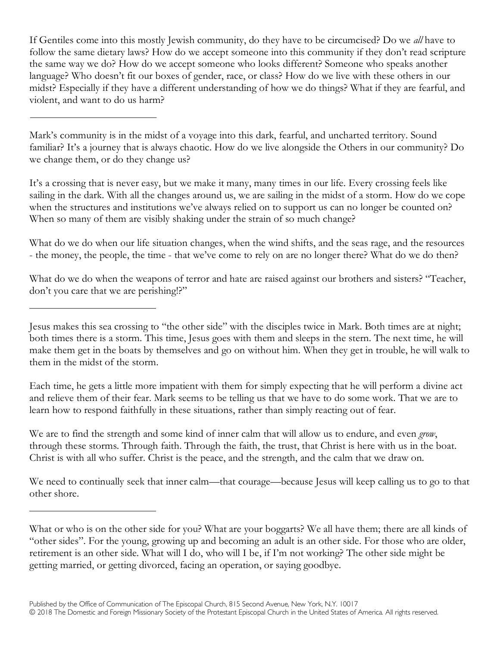If Gentiles come into this mostly Jewish community, do they have to be circumcised? Do we *all* have to follow the same dietary laws? How do we accept someone into this community if they don't read scripture the same way we do? How do we accept someone who looks different? Someone who speaks another language? Who doesn't fit our boxes of gender, race, or class? How do we live with these others in our midst? Especially if they have a different understanding of how we do things? What if they are fearful, and violent, and want to do us harm?

Mark's community is in the midst of a voyage into this dark, fearful, and uncharted territory. Sound familiar? It's a journey that is always chaotic. How do we live alongside the Others in our community? Do we change them, or do they change us?

It's a crossing that is never easy, but we make it many, many times in our life. Every crossing feels like sailing in the dark. With all the changes around us, we are sailing in the midst of a storm. How do we cope when the structures and institutions we've always relied on to support us can no longer be counted on? When so many of them are visibly shaking under the strain of so much change?

What do we do when our life situation changes, when the wind shifts, and the seas rage, and the resources - the money, the people, the time - that we've come to rely on are no longer there? What do we do then?

What do we do when the weapons of terror and hate are raised against our brothers and sisters? "Teacher, don't you care that we are perishing!?"

Each time, he gets a little more impatient with them for simply expecting that he will perform a divine act and relieve them of their fear. Mark seems to be telling us that we have to do some work. That we are to learn how to respond faithfully in these situations, rather than simply reacting out of fear.

We are to find the strength and some kind of inner calm that will allow us to endure, and even *grow*, through these storms. Through faith. Through the faith, the trust, that Christ is here with us in the boat. Christ is with all who suffer. Christ is the peace, and the strength, and the calm that we draw on.

We need to continually seek that inner calm—that courage—because Jesus will keep calling us to go to that other shore.

Jesus makes this sea crossing to "the other side" with the disciples twice in Mark. Both times are at night; both times there is a storm. This time, Jesus goes with them and sleeps in the stern. The next time, he will make them get in the boats by themselves and go on without him. When they get in trouble, he will walk to them in the midst of the storm.

What or who is on the other side for you? What are your boggarts? We all have them; there are all kinds of "other sides". For the young, growing up and becoming an adult is an other side. For those who are older, retirement is an other side. What will I do, who will I be, if I'm not working? The other side might be getting married, or getting divorced, facing an operation, or saying goodbye.